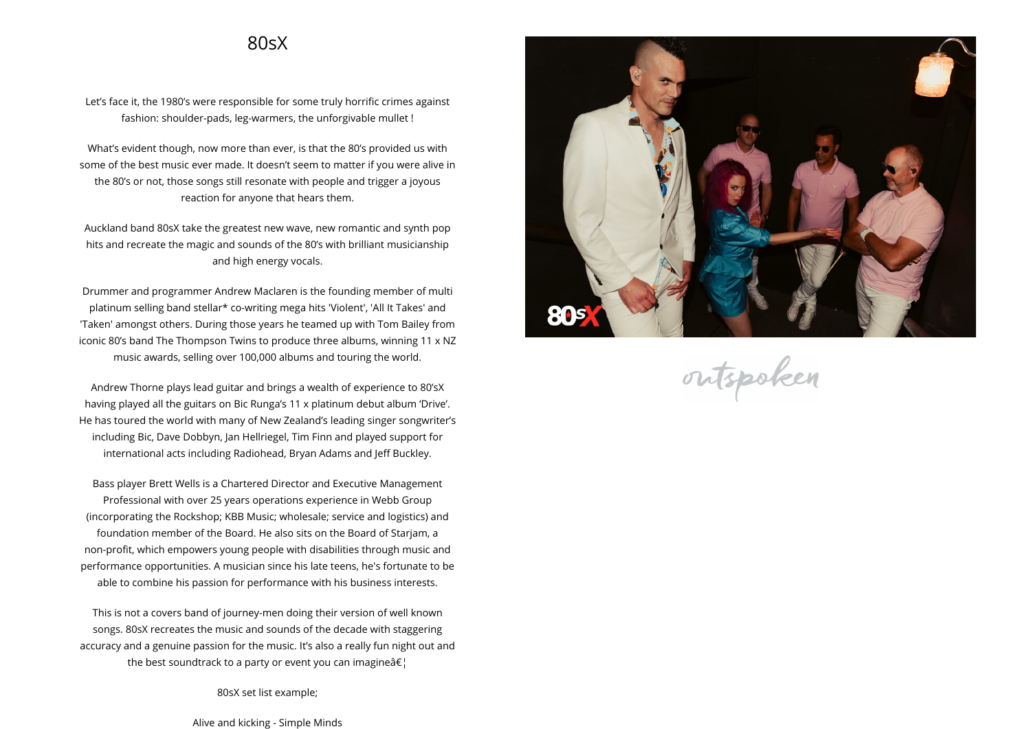## **80sX**

**Let's face it, the 1980's were responsible for some truly horrific crimes against fashion: shoulder-pads, leg-warmers, the unforgivable mullet !**

**What's evident though, now more than ever, is that the 80's provided us with some of the best music ever made. It doesn't seem to matter if you were alive in the 80's or not, those songs still resonate with people and trigger <sup>a</sup> joyous reaction for anyone that hears them.**

**Auckland band 80sX take the greatest new wave, new romantic and synth pop hits and recreate the magic and sounds of the 80's with brilliant musicianship and high energy vocals.**

**Drummer and programmer Andrew Maclaren is the founding member of multi platinum selling band stellar\* co-writing mega hits 'Violent', 'All It Takes' and 'Taken' amongst others. During those years he teamed up with Tom Bailey from iconic 80's band The Thompson Twins to produce three albums, winning <sup>11</sup> <sup>x</sup> NZ music awards, selling over 100,000 albums and touring the world.**

**Andrew Thorne <sup>p</sup>lays lead guitar and brings <sup>a</sup> wealth of experience to 80'sX having <sup>p</sup>layed all the guitars on Bic Runga's <sup>11</sup> <sup>x</sup> <sup>p</sup>latinum debut album 'Drive'. He has toured the world with many of New Zealand's leading singer songwriter's including Bic, Dave Dobbyn, Jan Hellriegel, Tim Finn and <sup>p</sup>layed support for international acts including Radiohead, Bryan Adams and Jeff Buckley.**

**Bass <sup>p</sup>layer Brett Wells is <sup>a</sup> Chartered Director and Executive Management Professional with over <sup>25</sup> years operations experience in Webb Group (incorporating the Rockshop; KBB Music; wholesale; service and logistics) and foundation member of the Board. He also sits on the Board of Starjam, <sup>a</sup> non-profit, which empowers young people with disabilities through music and performance opportunities. <sup>A</sup> musician since his late teens, he's fortunate to be able to combine his passion for performance with his business interests.**

**This is not <sup>a</sup> covers band of journey-men doing their version of well known songs. 80sX recreates the music and sounds of the decade with staggering accuracy and <sup>a</sup> genuine passion for the music. It's also <sup>a</sup> really fun night out and the best soundtrack to a party or event you can imagine…** 

**80sX set list example;**

**Alive and kicking - Simple Minds**



outspoken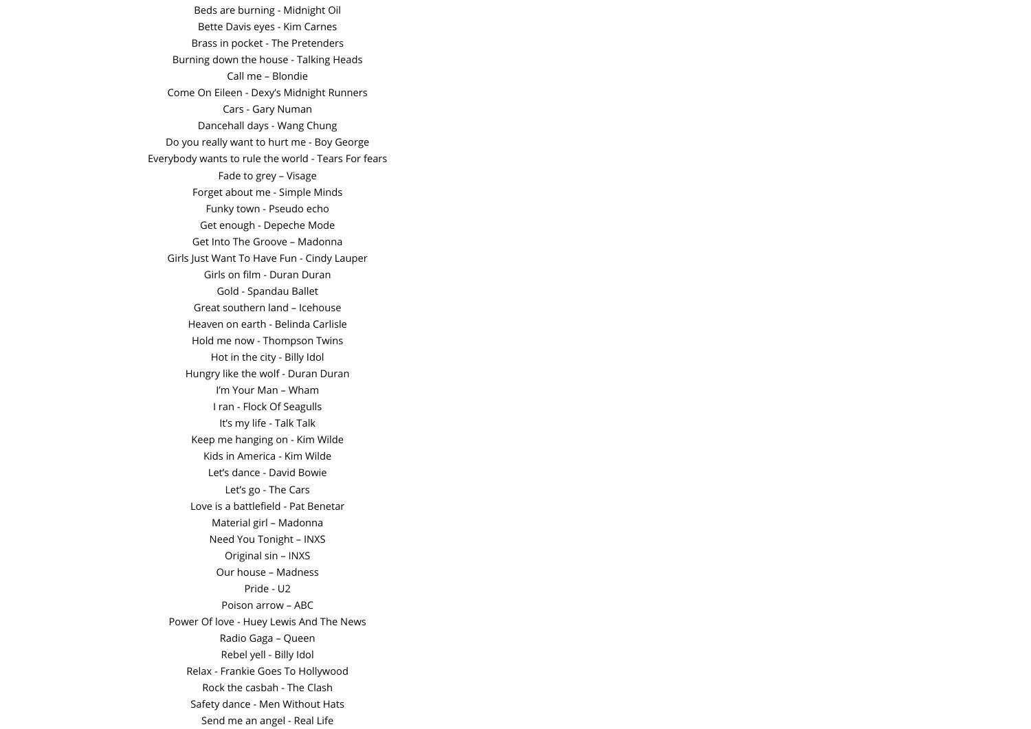**Beds are burning - Midnight Oil Bette Davis eyes - Kim Carnes Brass in pocket - The Pretenders Burning down the house - Talking Heads Call me – Blondie Come On Eileen - Dexy's Midnight Runners Cars - Gary Numan Dancehall days - Wang Chung Do you really want to hurt me - Boy George Everybody wants to rule the world - Tears For fears Fade to grey – Visage Forget about me - Simple Minds Funky town - Pseudo echo Get enoug<sup>h</sup> - Depeche Mode Get Into The Groove – Madonna Girls Just Want To Have Fun - Cindy Lauper Girls on film - Duran Duran Gold - Spandau Ballet Great southern land – Icehouse Heaven on earth - Belinda Carlisle Hold me now - Thompson Twins Hot in the city - Billy Idol Hungry like the wolf - Duran Duran I'm Your Man – Wham I ran - Flock Of Seagulls It's my life - Talk Talk Keep me hanging on - Kim Wilde Kids in America - Kim Wilde Let's dance - David Bowie Let's go - The Cars Love is <sup>a</sup> battlefield - Pat Benetar Material girl – MadonnaNeed You Tonight – INXS Original sin – INXS Our house – Madness Pride - U2Poison arrow – ABC Power Of love - Huey Lewis And The News Radio Gaga – QueenRebel yell - Billy Idol Relax - Frankie Goes To HollywoodRock the casbah - The Clash Safety dance - Men Without Hats Send me an ange<sup>l</sup> - Real Life**